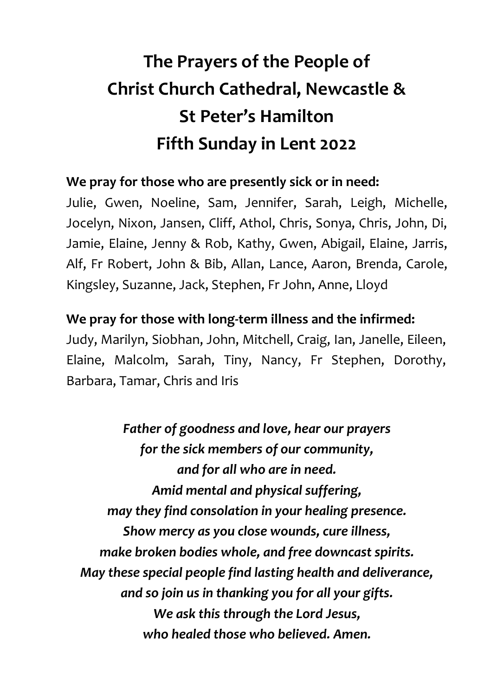## **The Prayers of the People of Christ Church Cathedral, Newcastle & St Peter's Hamilton Fifth Sunday in Lent 2022**

## **We pray for those who are presently sick or in need:**

Julie, Gwen, Noeline, Sam, Jennifer, Sarah, Leigh, Michelle, Jocelyn, Nixon, Jansen, Cliff, Athol, Chris, Sonya, Chris, John, Di, Jamie, Elaine, Jenny & Rob, Kathy, Gwen, Abigail, Elaine, Jarris, Alf, Fr Robert, John & Bib, Allan, Lance, Aaron, Brenda, Carole, Kingsley, Suzanne, Jack, Stephen, Fr John, Anne, Lloyd

## **We pray for those with long-term illness and the infirmed:**

Judy, Marilyn, Siobhan, John, Mitchell, Craig, Ian, Janelle, Eileen, Elaine, Malcolm, Sarah, Tiny, Nancy, Fr Stephen, Dorothy, Barbara, Tamar, Chris and Iris

*Father of goodness and love, hear our prayers for the sick members of our community, and for all who are in need. Amid mental and physical suffering, may they find consolation in your healing presence. Show mercy as you close wounds, cure illness, make broken bodies whole, and free downcast spirits. May these special people find lasting health and deliverance, and so join us in thanking you for all your gifts. We ask this through the Lord Jesus, who healed those who believed. Amen.*